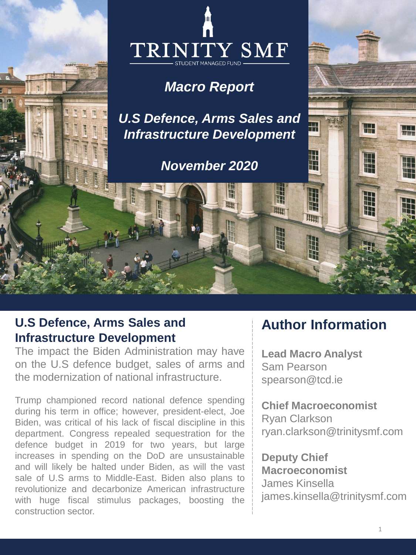

## *Macro Report*

*U.S Defence, Arms Sales and Infrastructure Development*

*November 2020*

**RED** 

llun

## **U.S Defence, Arms Sales and Infrastructure Development**

The impact the Biden Administration may have on the U.S defence budget, sales of arms and the modernization of national infrastructure.

Trump championed record national defence spending during his term in office; however, president-elect, Joe Biden, was critical of his lack of fiscal discipline in this department. Congress repealed sequestration for the defence budget in 2019 for two years, but large increases in spending on the DoD are unsustainable and will likely be halted under Biden, as will the vast sale of U.S arms to Middle-East. Biden also plans to revolutionize and decarbonize American infrastructure with huge fiscal stimulus packages, boosting the construction sector.

# **Author Information**

H

 $\frac{1}{2}$ 

7117

**Lead Macro Analyst** Sam Pearson spearson@tcd.ie

llin

**Chief Macroeconomist** Ryan Clarkson ryan.clarkson@trinitysmf.com

**Deputy Chief Macroeconomist** James Kinsella james.kinsella@trinitysmf.com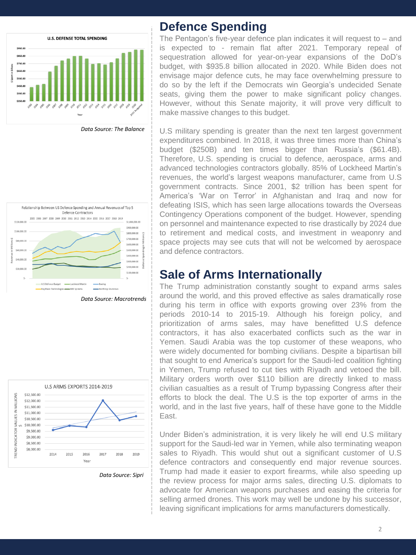

*Data Source: The Balance*



*Data Source: Macrotrends*



*Data Source: Sipri*

#### **Defence Spending**

The Pentagon's five-year defence plan indicates it will request to – and is expected to - remain flat after 2021. Temporary repeal of sequestration allowed for year-on-year expansions of the DoD's budget, with \$935.8 billion allocated in 2020. While Biden does not envisage major defence cuts, he may face overwhelming pressure to do so by the left if the Democrats win Georgia's undecided Senate seats, giving them the power to make significant policy changes. However, without this Senate majority, it will prove very difficult to make massive changes to this budget.

U.S military spending is greater than the next ten largest government expenditures combined. In 2018, it was three times more than China's budget (\$250B) and ten times bigger than Russia's (\$61.4B). Therefore, U.S. spending is crucial to defence, aerospace, arms and advanced technologies contractors globally. 85% of Lockheed Martin's revenues, the world's largest weapons manufacturer, came from U.S government contracts. Since 2001, \$2 trillion has been spent for America's 'War on Terror' in Afghanistan and Iraq and now for defeating ISIS, which has seen large allocations towards the Overseas Contingency Operations component of the budget. However, spending on personnel and maintenance expected to rise drastically by 2024 due to retirement and medical costs, and investment in weaponry and space projects may see cuts that will not be welcomed by aerospace and defence contractors.

### **Sale of Arms Internationally**

The Trump administration constantly sought to expand arms sales around the world, and this proved effective as sales dramatically rose during his term in office with exports growing over 23% from the periods 2010-14 to 2015-19. Although his foreign policy, and prioritization of arms sales, may have benefitted U.S defence contractors, it has also exacerbated conflicts such as the war in Yemen. Saudi Arabia was the top customer of these weapons, who were widely documented for bombing civilians. Despite a bipartisan bill that sought to end America's support for the Saudi-led coalition fighting in Yemen, Trump refused to cut ties with Riyadh and vetoed the bill. Military orders worth over \$110 billion are directly linked to mass civilian casualties as a result of Trump bypassing Congress after their efforts to block the deal. The U.S is the top exporter of arms in the world, and in the last five years, half of these have gone to the Middle East.

Under Biden's administration, it is very likely he will end U.S military support for the Saudi-led war in Yemen, while also terminating weapon sales to Riyadh. This would shut out a significant customer of U.S defence contractors and consequently end major revenue sources. Trump had made it easier to export firearms, while also speeding up the review process for major arms sales, directing U.S. diplomats to advocate for American weapons purchases and easing the criteria for selling armed drones. This work may well be undone by his successor, leaving significant implications for arms manufacturers domestically.